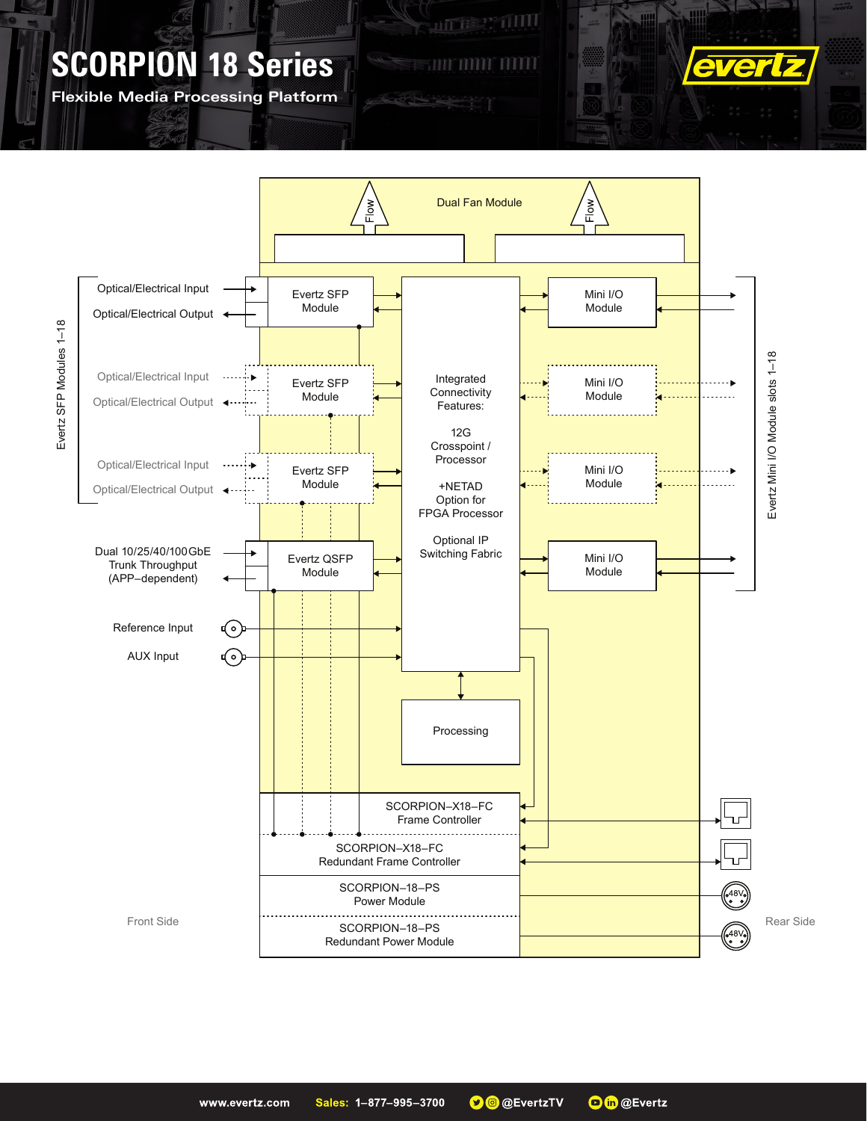**Flexible Media Processing Platform**



**ALLE SE TILLE** 

**FULL DULLA**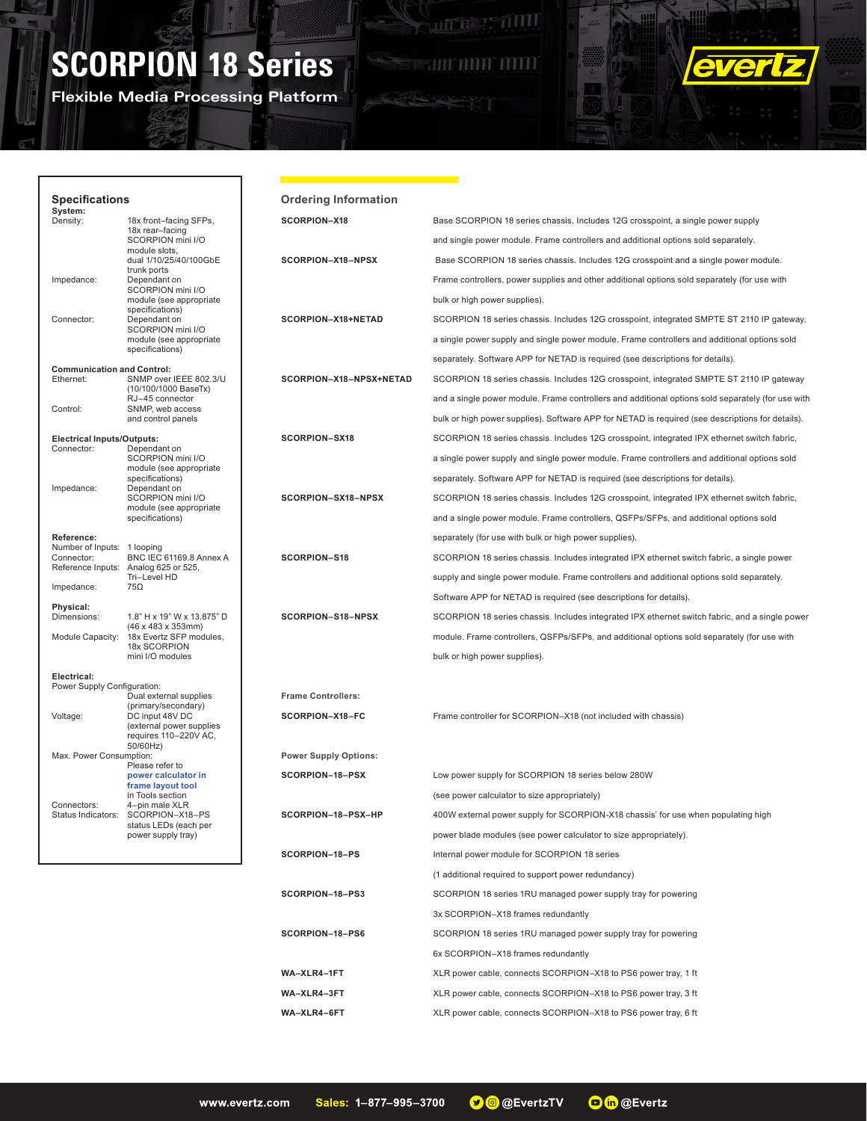**Flexible Media Processing Platform**

**THE PERIOD** 





5  $\mathbf{X}$ 

| <b>Specifications</b>                                                    |                                                                                                     | <b>Ordering Information</b>  |                                                                                                   |
|--------------------------------------------------------------------------|-----------------------------------------------------------------------------------------------------|------------------------------|---------------------------------------------------------------------------------------------------|
| System:<br>Density:                                                      | 18x front-facing SFPs,                                                                              | SCORPION-X18                 | Base SCORPION 18 series chassis. Includes 12G crosspoint, a single power supply                   |
|                                                                          | 18x rear-facing<br>SCORPION mini I/O                                                                |                              | and single power module. Frame controllers and additional options sold separately.                |
|                                                                          | module slots,<br>dual 1/10/25/40/100GbE                                                             | SCORPION-X18-NPSX            | Base SCORPION 18 series chassis. Includes 12G crosspoint and a single power module.               |
| Impedance:                                                               | trunk ports<br>Dependant on                                                                         |                              | Frame controllers, power supplies and other additional options sold separately (for use with      |
|                                                                          | SCORPION mini I/O<br>module (see appropriate                                                        |                              | bulk or high power supplies).                                                                     |
| Connector:                                                               | specifications)<br>Dependant on                                                                     | SCORPION-X18+NETAD           | SCORPION 18 series chassis. Includes 12G crosspoint, integrated SMPTE ST 2110 IP gateway,         |
|                                                                          | SCORPION mini I/O<br>module (see appropriate                                                        |                              | a single power supply and single power module. Frame controllers and additional options sold      |
|                                                                          | specifications)                                                                                     |                              | separately. Software APP for NETAD is required (see descriptions for details).                    |
| <b>Communication and Control:</b><br>Ethernet:<br>SNMP over IEEE 802.3/U |                                                                                                     | SCORPION-X18-NPSX+NETAD      | SCORPION 18 series chassis. Includes 12G crosspoint, integrated SMPTE ST 2110 IP gateway          |
|                                                                          | (10/100/1000 BaseTx)<br>RJ-45 connector                                                             |                              | and a single power module. Frame controllers and additional options sold separately (for use with |
| Control:                                                                 | SNMP, web access<br>and control panels                                                              |                              | bulk or high power supplies). Software APP for NETAD is required (see descriptions for details).  |
| <b>Electrical Inputs/Outputs:</b>                                        |                                                                                                     | SCORPION-SX18                | SCORPION 18 series chassis. Includes 12G crosspoint, integrated IPX ethernet switch fabric,       |
| Connector:                                                               | Dependant on<br>SCORPION mini I/O                                                                   |                              | a single power supply and single power module. Frame controllers and additional options sold      |
|                                                                          | module (see appropriate<br>specifications)                                                          |                              | separately. Software APP for NETAD is required (see descriptions for details).                    |
| Impedance:                                                               | Dependant on<br>SCORPION mini I/O                                                                   | SCORPION-SX18-NPSX           | SCORPION 18 series chassis. Includes 12G crosspoint, integrated IPX ethernet switch fabric,       |
|                                                                          | module (see appropriate<br>specifications)                                                          |                              | and a single power module. Frame controllers, QSFPs/SFPs, and additional options sold             |
| Reference:                                                               |                                                                                                     |                              | separately (for use with bulk or high power supplies).                                            |
| Number of Inputs: 1 looping<br>Connector:                                | BNC IEC 61169.8 Annex A                                                                             | SCORPION-S18                 | SCORPION 18 series chassis. Includes integrated IPX ethernet switch fabric, a single power        |
|                                                                          | Reference Inputs: Analog 625 or 525,<br>Tri-Level HD                                                |                              | supply and single power module. Frame controllers and additional options sold separately.         |
| Impedance:                                                               | 75Ω                                                                                                 |                              | Software APP for NETAD is required (see descriptions for details).                                |
| Physical:<br>Dimensions:                                                 | 1.8" H x 19" W x 13.875" D                                                                          | SCORPION-S18-NPSX            | SCORPION 18 series chassis. Includes integrated IPX ethernet switch fabric, and a single power    |
| Module Capacity:                                                         | (46 x 483 x 353mm)<br>18x Evertz SFP modules,                                                       |                              | module. Frame controllers, QSFPs/SFPs, and additional options sold separately (for use with       |
|                                                                          | 18x SCORPION<br>mini I/O modules                                                                    |                              | bulk or high power supplies).                                                                     |
| Electrical:                                                              |                                                                                                     |                              |                                                                                                   |
| Power Supply Configuration:                                              | Dual external supplies                                                                              | <b>Frame Controllers:</b>    |                                                                                                   |
| Voltage:                                                                 | (primary/secondary)<br>DC input 48V DC                                                              | SCORPION-X18-FC              | Frame controller for SCORPION-X18 (not included with chassis)                                     |
|                                                                          | (external power supplies<br>requires 110-220V AC,                                                   |                              |                                                                                                   |
| 50/60Hz)<br>Max. Power Consumption:                                      |                                                                                                     | <b>Power Supply Options:</b> |                                                                                                   |
|                                                                          | Please refer to<br>power calculator in                                                              | SCORPION-18-PSX              | Low power supply for SCORPION 18 series below 280W                                                |
|                                                                          | frame layout tool<br>in Tools section                                                               |                              | (see power calculator to size appropriately)                                                      |
| Connectors:                                                              | 4-pin male XLR<br>Status Indicators: SCORPION-X18-PS<br>status LEDs (each per<br>power supply tray) | SCORPION-18-PSX-HP           | 400W external power supply for SCORPION-X18 chassis' for use when populating high                 |
|                                                                          |                                                                                                     |                              | power blade modules (see power calculator to size appropriately).                                 |
|                                                                          |                                                                                                     | SCORPION-18-PS               | Internal power module for SCORPION 18 series                                                      |
|                                                                          |                                                                                                     |                              | (1 additional required to support power redundancy)                                               |
|                                                                          |                                                                                                     | SCORPION-18-PS3              | SCORPION 18 series 1RU managed power supply tray for powering                                     |
|                                                                          |                                                                                                     |                              | 3x SCORPION-X18 frames redundantly                                                                |
|                                                                          |                                                                                                     | SCORPION-18-PS6              | SCORPION 18 series 1RU managed power supply tray for powering                                     |
|                                                                          |                                                                                                     |                              | 6x SCORPION-X18 frames redundantly                                                                |
|                                                                          |                                                                                                     | WA-XLR4-1FT                  | XLR power cable, connects SCORPION-X18 to PS6 power tray, 1 ft                                    |
|                                                                          |                                                                                                     | WA-XLR4-3FT                  | XLR power cable, connects SCORPION-X18 to PS6 power tray, 3 ft                                    |
|                                                                          |                                                                                                     | WA-XLR4-6FT                  | XLR power cable, connects SCORPION-X18 to PS6 power tray, 6 ft                                    |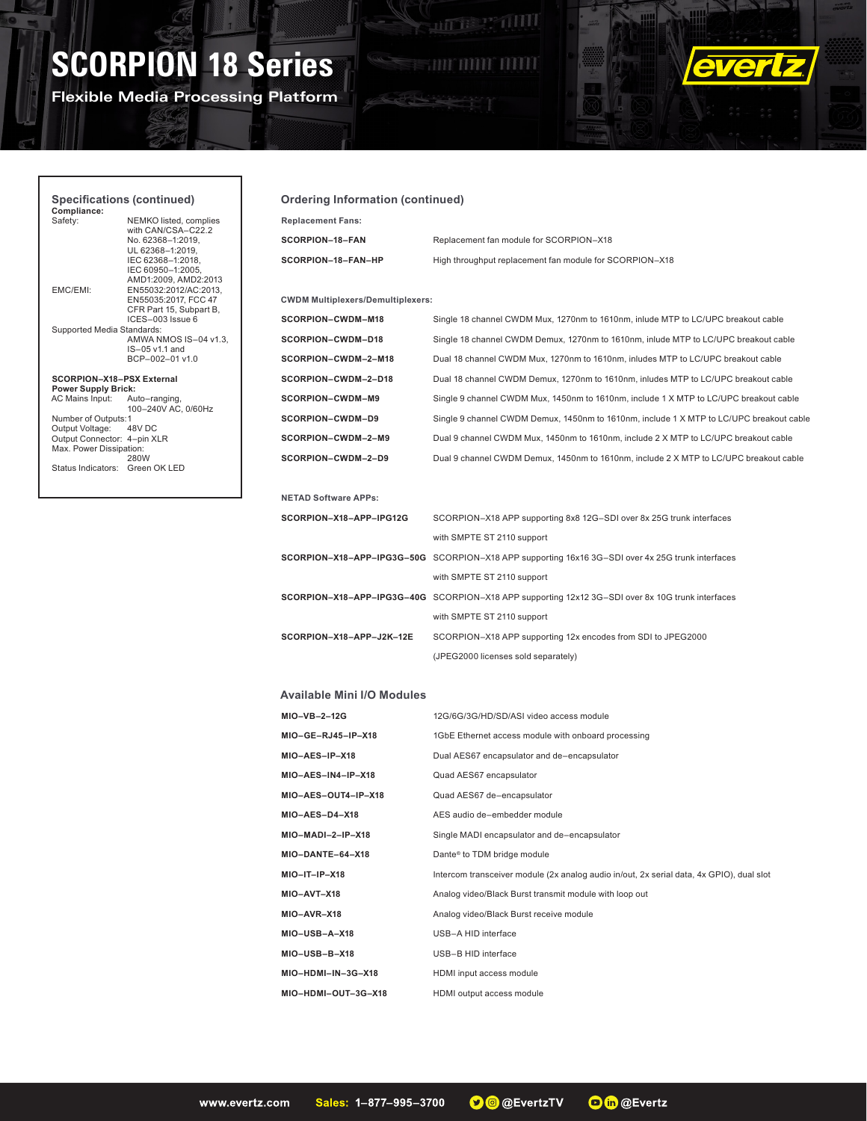**Flexible Media Processing Platform**



## **Specifications (continued)**

**Compliance:** NEMKO listed, complies with CAN/CSA–C22.2 No. 62368–1:2019, UL 62368–1:2019, IEC 62368–1:2018, IEC 60950–1:2005, AMD1:2009, AMD2:2013 EMC/EMI: EN55032:2012/AC:2013, EN55035:2017, FCC 47 CFR Part 15, Subpart B, ICES–003 Issue 6 Supported Media Standards: AMWA NMOS IS–04 v1.3, IS–05 v1.1 and BCP–002–01 v1.0

#### **SCORPION–X18–PSX External Power Supply Brick:**

AC Mains Input: Auto–ranging, 100–240V AC, 0/60Hz Number of Outputs:1 Output Voltage: 48V DC Output Connector: 4–pin XLR Max. Power Dissipation: 280W Status Indicators: Green OK LED

#### **Ordering Information (continued)**

| <b>Replacement Fans:</b> |
|--------------------------|
| SCORPION-18-FAN          |
| SCORPION-18-FAN-HP       |

**SCORPION–18–FAN** Replacement fan module for SCORPION–X18 High throughput replacement fan module for SCORPION–X18

**ALLES PARTIES** 

an min mili

#### **CWDM Multiplexers/Demultiplexers:**

| SCORPION-CWDM-M18   |
|---------------------|
| SCORPION-CWDM-D18   |
| SCORPION-CWDM-2-M18 |
| SCORPION-CWDM-2-D18 |
| SCORPION-CWDM-M9    |
| SCORPION-CWDM-D9    |
| SCORPION-CWDM-2-M9  |
| SCORPION-CWDM-2-D9  |

Single 18 channel CWDM Mux, 1270nm to 1610nm, inlude MTP to LC/UPC breakout cable Single 18 channel CWDM Demux, 1270nm to 1610nm, inlude MTP to LC/UPC breakout cable **SCORPION–CWDM–2–M18** Dual 18 channel CWDM Mux, 1270nm to 1610nm, inludes MTP to LC/UPC breakout cable **SCORPION–CWDM–2–D18** Dual 18 channel CWDM Demux, 1270nm to 1610nm, inludes MTP to LC/UPC breakout cable Single 9 channel CWDM Mux, 1450nm to 1610nm, include 1 X MTP to LC/UPC breakout cable Single 9 channel CWDM Demux, 1450nm to 1610nm, include 1 X MTP to LC/UPC breakout cable Dual 9 channel CWDM Mux, 1450nm to 1610nm, include 2 X MTP to LC/UPC breakout cable Dual 9 channel CWDM Demux, 1450nm to 1610nm, include 2 X MTP to LC/UPC breakout cable

#### **NETAD Software APPs:**

| <b>SCORPION-X18-APP-IPG12G</b> | SCORPION-X18 APP supporting 8x8 12G-SDI over 8x 25G trunk interfaces                             |
|--------------------------------|--------------------------------------------------------------------------------------------------|
|                                | with SMPTE ST 2110 support                                                                       |
|                                | SCORPION-X18-APP-IPG3G-50G SCORPION-X18 APP supporting 16x16 3G-SDI over 4x 25G trunk interfaces |
|                                | with SMPTE ST 2110 support                                                                       |
|                                | SCORPION-X18-APP-IPG3G-40G SCORPION-X18 APP supporting 12x12 3G-SDI over 8x 10G trunk interfaces |
|                                | with SMPTE ST 2110 support                                                                       |
| SCORPION-X18-APP-J2K-12E       | SCORPION-X18 APP supporting 12x encodes from SDI to JPEG2000                                     |
|                                | (JPEG2000 licenses sold separately)                                                              |

#### **Available Mini I/O Modules**

| MIO-VB-2-12G        | 12G/6G/3G/HD/SD/ASI video access module                                                  |
|---------------------|------------------------------------------------------------------------------------------|
| MIO-GE-RJ45-IP-X18  | 1GbE Ethernet access module with onboard processing                                      |
| MIO-AES-IP-X18      | Dual AES67 encapsulator and de-encapsulator                                              |
| MIO-AES-IN4-IP-X18  | Quad AES67 encapsulator                                                                  |
| MIO-AES-OUT4-IP-X18 | Quad AES67 de-encapsulator                                                               |
| $MIO-AES-D4-X18$    | AES audio de-embedder module                                                             |
| MIO-MADI-2-IP-X18   | Single MADI encapsulator and de-encapsulator                                             |
| MIO-DANTE-64-X18    | Dante <sup>®</sup> to TDM bridge module                                                  |
| $MIO-IT-IP-X18$     | Intercom transceiver module (2x analog audio in/out, 2x serial data, 4x GPIO), dual slot |
| MIO-AVT-X18         | Analog video/Black Burst transmit module with loop out                                   |
| MIO-AVR-X18         | Analog video/Black Burst receive module                                                  |
| MIO-USB-A-X18       | USB-A HID interface                                                                      |
| MIO-USB-B-X18       | USB-B HID interface                                                                      |
| MIO-HDMI-IN-3G-X18  | HDMI input access module                                                                 |
| MIO-HDMI-OUT-3G-X18 | HDMI output access module                                                                |